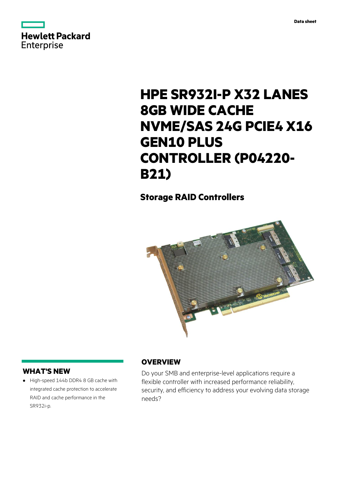

# **HPE SR932I-P X32 LANES 8GB WIDE CACHE NVME/SAS 24G PCIE4 X16 GEN10 PLUS CONTROLLER (P04220- B21)**

# **Storage RAID Controllers**



# **WHAT'S NEW**

**·** High-speed 144b DDR4 8 GB cache with integrated cache protection to accelerate RAID and cache performance in the SR932i-p.

# **OVERVIEW**

Do your SMB and enterprise-level applications require a flexible controller with increased performance reliability, security, and efficiency to address your evolving data storage needs?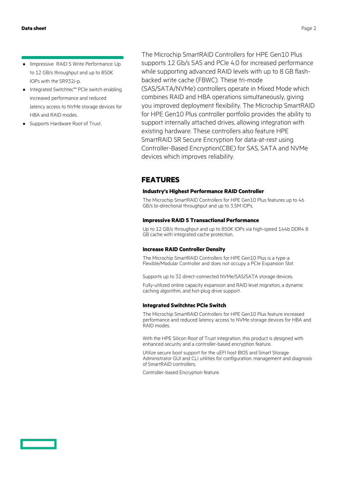- **·** IImpressive RAID 5 Write Performance: Up to 12 GB/s throughput and up to 850K IOPs with the SR932i-p.
- **·** Integrated Switchtec™ PCIe switch enabling increased performance and reduced latency access to NVMe storage devices for HBA and RAID modes.
- **·** Supports Hardware Root of Trust.

The Microchip SmartRAID Controllers for HPE Gen10 Plus supports 12 Gb/s SAS and PCIe 4.0 for increased performance while supporting advanced RAID levels with up to 8 GB flashbacked write cache (FBWC). These tri-mode (SAS/SATA/NVMe) controllers operate in Mixed Mode which combines RAID and HBA operations simultaneously, giving you improved deployment flexibility. The Microchip SmartRAID for HPE Gen10 Plus controller portfolio provides the ability to support internally attached drives, allowing integration with existing hardware. These controllers also feature HPE SmartRAID SR Secure Encryption for data-at-rest using Controller-Based Encryption(CBE) for SAS, SATA and NVMe devices which improves reliability.

### **FEATURES**

#### **Industry's Highest Performance RAID Controller**

The Microchip SmartRAID Controllers for HPE Gen10 Plus features up to 46 GB/s bi-directional throughput and up to 3.5M IOPs.

#### **Impressive RAID 5 Transactional Performance**

Up to 12 GB/s throughput and up to 850K IOPs via high-speed 144b DDR4 8 GB cache with integrated cache protection.

#### **Increase RAID Controller Density**

The Microchip SmartRAID Controllers for HPE Gen10 Plus is a type-a Flexible/Modular Controller and does not occupy a PCIe Expansion Slot.

Supports up to 32 direct-connected NVMe/SAS/SATA storage devices.

Fully-utilized online capacity expansion and RAID level migration, a dynamic caching algorithm, and hot-plug drive support.

#### **Integrated Switchtec PCIe Switch**

The Microchip SmartRAID Controllers for HPE Gen10 Plus feature increased performance and reduced latency access to NVMe storage devices for HBA and RAID modes.

With the HPE Silicon Root of Trust integration, this product is designed with enhanced security and a controller-based encryption feature.

Utilize secure boot support for the uEFI host BIOS and Smart Storage Administrator GUI and CLI utilities for configuration, management and diagnosis of SmartRAID controllers.

Controller-based Encryption feature.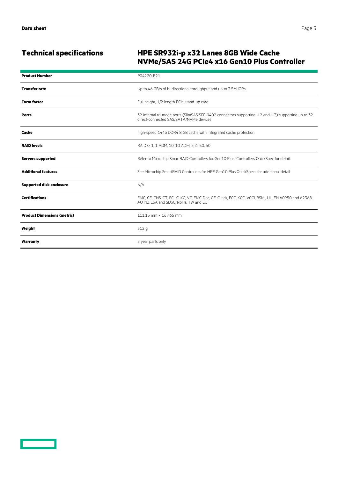<u>a sa san</u>

# **Technical specifications HPE SR932i-p x32 Lanes 8GB Wide Cache NVMe/SAS 24G PCIe4 x16 Gen10 Plus Controller**

| <b>Product Number</b>              | P04220-B21                                                                                                                                    |
|------------------------------------|-----------------------------------------------------------------------------------------------------------------------------------------------|
| <b>Transfer rate</b>               | Up to 46 GB/s of bi-directional throughput and up to 3.5M IOPs                                                                                |
| <b>Form factor</b>                 | Full height, 1/2 length PCIe stand-up card                                                                                                    |
| <b>Ports</b>                       | 32 internal tri-mode ports (SlimSAS SFF-9402 connectors supporting U.2 and U.3) supporting up to 32<br>direct-connected SAS/SATA/NVMe devices |
| Cache                              | high-speed 144b DDR4 8 GB cache with integrated cache protection                                                                              |
| <b>RAID levels</b>                 | RAID 0, 1, 1 ADM, 10, 10 ADM, 5, 6, 50, 60                                                                                                    |
| <b>Servers supported</b>           | Refer to Microchip SmartRAID Controllers for Gen10 Plus Controllers QuickSpec for detail.                                                     |
| <b>Additional features</b>         | See Microchip SmartRAID Controllers for HPE Gen10 Plus QuickSpecs for additional detail.                                                      |
| <b>Supported disk enclosure</b>    | N/A                                                                                                                                           |
| <b>Certifications</b>              | EMC, CE, CNS, CT, FC, IC, KC, VC, EMC Doc, CE, C-tick, FCC, KCC, VCCI, BSMI, UL, EN 60950 and 62368,<br>AU NZ LoA and SDoC, RoHs, TW and EU   |
| <b>Product Dimensions (metric)</b> | 111.15 mm × 167.65 mm                                                                                                                         |
| Weight                             | 312 g                                                                                                                                         |
| Warranty                           | 3 year parts only                                                                                                                             |